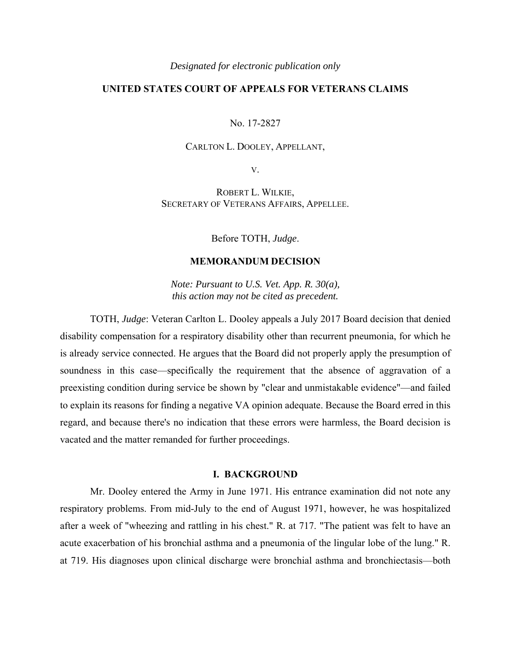#### *Designated for electronic publication only*

# **UNITED STATES COURT OF APPEALS FOR VETERANS CLAIMS**

No. 17-2827

## CARLTON L. DOOLEY, APPELLANT,

V.

ROBERT L. WILKIE, SECRETARY OF VETERANS AFFAIRS, APPELLEE.

Before TOTH, *Judge*.

## **MEMORANDUM DECISION**

*Note: Pursuant to U.S. Vet. App. R. 30(a), this action may not be cited as precedent.* 

TOTH, *Judge*: Veteran Carlton L. Dooley appeals a July 2017 Board decision that denied disability compensation for a respiratory disability other than recurrent pneumonia, for which he is already service connected. He argues that the Board did not properly apply the presumption of soundness in this case—specifically the requirement that the absence of aggravation of a preexisting condition during service be shown by "clear and unmistakable evidence"—and failed to explain its reasons for finding a negative VA opinion adequate. Because the Board erred in this regard, and because there's no indication that these errors were harmless, the Board decision is vacated and the matter remanded for further proceedings.

### **I. BACKGROUND**

Mr. Dooley entered the Army in June 1971. His entrance examination did not note any respiratory problems. From mid-July to the end of August 1971, however, he was hospitalized after a week of "wheezing and rattling in his chest." R. at 717. "The patient was felt to have an acute exacerbation of his bronchial asthma and a pneumonia of the lingular lobe of the lung." R. at 719. His diagnoses upon clinical discharge were bronchial asthma and bronchiectasis—both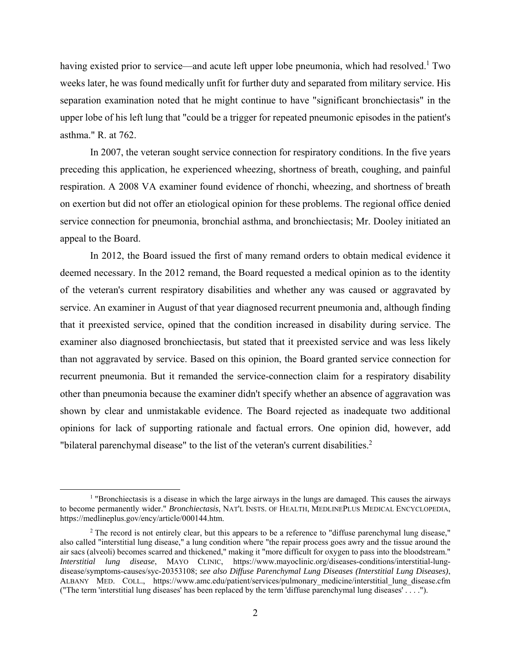having existed prior to service—and acute left upper lobe pneumonia, which had resolved.<sup>1</sup> Two weeks later, he was found medically unfit for further duty and separated from military service. His separation examination noted that he might continue to have "significant bronchiectasis" in the upper lobe of his left lung that "could be a trigger for repeated pneumonic episodes in the patient's asthma." R. at 762.

In 2007, the veteran sought service connection for respiratory conditions. In the five years preceding this application, he experienced wheezing, shortness of breath, coughing, and painful respiration. A 2008 VA examiner found evidence of rhonchi, wheezing, and shortness of breath on exertion but did not offer an etiological opinion for these problems. The regional office denied service connection for pneumonia, bronchial asthma, and bronchiectasis; Mr. Dooley initiated an appeal to the Board.

In 2012, the Board issued the first of many remand orders to obtain medical evidence it deemed necessary. In the 2012 remand, the Board requested a medical opinion as to the identity of the veteran's current respiratory disabilities and whether any was caused or aggravated by service. An examiner in August of that year diagnosed recurrent pneumonia and, although finding that it preexisted service, opined that the condition increased in disability during service. The examiner also diagnosed bronchiectasis, but stated that it preexisted service and was less likely than not aggravated by service. Based on this opinion, the Board granted service connection for recurrent pneumonia. But it remanded the service-connection claim for a respiratory disability other than pneumonia because the examiner didn't specify whether an absence of aggravation was shown by clear and unmistakable evidence. The Board rejected as inadequate two additional opinions for lack of supporting rationale and factual errors. One opinion did, however, add "bilateral parenchymal disease" to the list of the veteran's current disabilities. $2$ 

<sup>&</sup>lt;u>1</u> "Bronchiectasis is a disease in which the large airways in the lungs are damaged. This causes the airways to become permanently wider." *Bronchiectasis*, NAT'L INSTS. OF HEALTH, MEDLINEPLUS MEDICAL ENCYCLOPEDIA, https://medlineplus.gov/ency/article/000144.htm.

<sup>&</sup>lt;sup>2</sup> The record is not entirely clear, but this appears to be a reference to "diffuse parenchymal lung disease," also called "interstitial lung disease," a lung condition where "the repair process goes awry and the tissue around the air sacs (alveoli) becomes scarred and thickened," making it "more difficult for oxygen to pass into the bloodstream." *Interstitial lung disease*, MAYO CLINIC, https://www.mayoclinic.org/diseases-conditions/interstitial-lungdisease/symptoms-causes/syc-20353108; *see also Diffuse Parenchymal Lung Diseases (Interstitial Lung Diseases)*, ALBANY MED. COLL., https://www.amc.edu/patient/services/pulmonary\_medicine/interstitial\_lung\_disease.cfm ("The term 'interstitial lung diseases' has been replaced by the term 'diffuse parenchymal lung diseases' . . . .").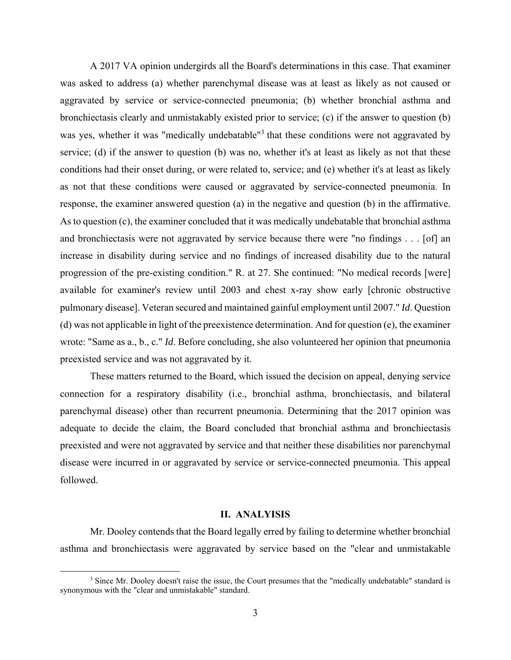A 2017 VA opinion undergirds all the Board's determinations in this case. That examiner was asked to address (a) whether parenchymal disease was at least as likely as not caused or aggravated by service or service-connected pneumonia; (b) whether bronchial asthma and bronchiectasis clearly and unmistakably existed prior to service; (c) if the answer to question (b) was yes, whether it was "medically undebatable"<sup>3</sup> that these conditions were not aggravated by service; (d) if the answer to question (b) was no, whether it's at least as likely as not that these conditions had their onset during, or were related to, service; and (e) whether it's at least as likely as not that these conditions were caused or aggravated by service-connected pneumonia. In response, the examiner answered question (a) in the negative and question (b) in the affirmative. As to question (c), the examiner concluded that it was medically undebatable that bronchial asthma and bronchiectasis were not aggravated by service because there were "no findings . . . [of] an increase in disability during service and no findings of increased disability due to the natural progression of the pre-existing condition." R. at 27. She continued: "No medical records [were] available for examiner's review until 2003 and chest x-ray show early [chronic obstructive pulmonary disease]. Veteran secured and maintained gainful employment until 2007." *Id*. Question (d) was not applicable in light of the preexistence determination. And for question (e), the examiner wrote: "Same as a., b., c." *Id*. Before concluding, she also volunteered her opinion that pneumonia preexisted service and was not aggravated by it.

These matters returned to the Board, which issued the decision on appeal, denying service connection for a respiratory disability (i.e., bronchial asthma, bronchiectasis, and bilateral parenchymal disease) other than recurrent pneumonia. Determining that the 2017 opinion was adequate to decide the claim, the Board concluded that bronchial asthma and bronchiectasis preexisted and were not aggravated by service and that neither these disabilities nor parenchymal disease were incurred in or aggravated by service or service-connected pneumonia. This appeal followed.

### **II. ANALYISIS**

Mr. Dooley contends that the Board legally erred by failing to determine whether bronchial asthma and bronchiectasis were aggravated by service based on the "clear and unmistakable

 <sup>3</sup> <sup>3</sup> Since Mr. Dooley doesn't raise the issue, the Court presumes that the "medically undebatable" standard is synonymous with the "clear and unmistakable" standard.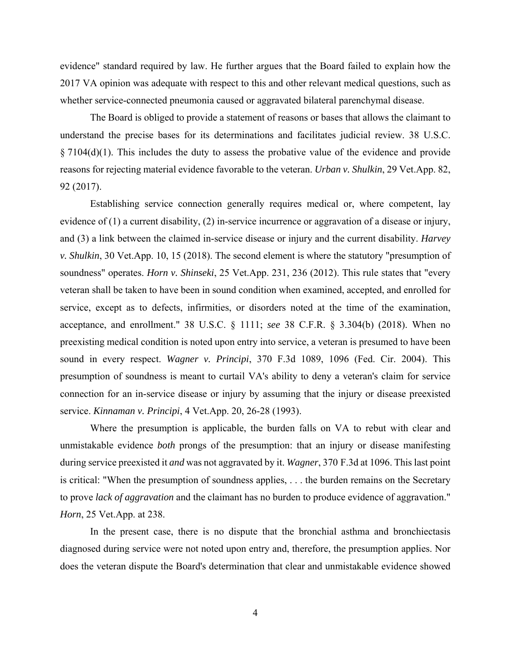evidence" standard required by law. He further argues that the Board failed to explain how the 2017 VA opinion was adequate with respect to this and other relevant medical questions, such as whether service-connected pneumonia caused or aggravated bilateral parenchymal disease.

The Board is obliged to provide a statement of reasons or bases that allows the claimant to understand the precise bases for its determinations and facilitates judicial review. 38 U.S.C. § 7104(d)(1). This includes the duty to assess the probative value of the evidence and provide reasons for rejecting material evidence favorable to the veteran. *Urban v. Shulkin*, 29 Vet.App. 82, 92 (2017).

Establishing service connection generally requires medical or, where competent, lay evidence of (1) a current disability, (2) in-service incurrence or aggravation of a disease or injury, and (3) a link between the claimed in-service disease or injury and the current disability. *Harvey v. Shulkin*, 30 Vet.App. 10, 15 (2018). The second element is where the statutory "presumption of soundness" operates. *Horn v. Shinseki*, 25 Vet.App. 231, 236 (2012). This rule states that "every veteran shall be taken to have been in sound condition when examined, accepted, and enrolled for service, except as to defects, infirmities, or disorders noted at the time of the examination, acceptance, and enrollment." 38 U.S.C. § 1111; *see* 38 C.F.R. § 3.304(b) (2018). When no preexisting medical condition is noted upon entry into service, a veteran is presumed to have been sound in every respect. *Wagner v. Principi*, 370 F.3d 1089, 1096 (Fed. Cir. 2004). This presumption of soundness is meant to curtail VA's ability to deny a veteran's claim for service connection for an in-service disease or injury by assuming that the injury or disease preexisted service. *Kinnaman v. Principi*, 4 Vet.App. 20, 26-28 (1993).

Where the presumption is applicable, the burden falls on VA to rebut with clear and unmistakable evidence *both* prongs of the presumption: that an injury or disease manifesting during service preexisted it *and* was not aggravated by it. *Wagner*, 370 F.3d at 1096. This last point is critical: "When the presumption of soundness applies, . . . the burden remains on the Secretary to prove *lack of aggravation* and the claimant has no burden to produce evidence of aggravation." *Horn*, 25 Vet.App. at 238.

In the present case, there is no dispute that the bronchial asthma and bronchiectasis diagnosed during service were not noted upon entry and, therefore, the presumption applies. Nor does the veteran dispute the Board's determination that clear and unmistakable evidence showed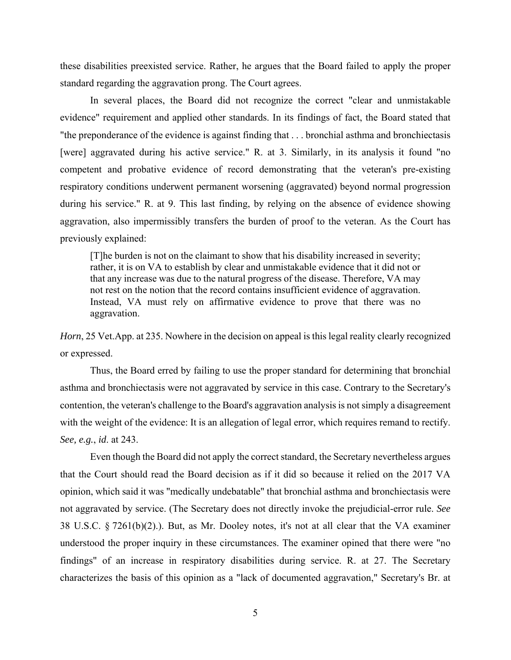these disabilities preexisted service. Rather, he argues that the Board failed to apply the proper standard regarding the aggravation prong. The Court agrees.

In several places, the Board did not recognize the correct "clear and unmistakable evidence" requirement and applied other standards. In its findings of fact, the Board stated that "the preponderance of the evidence is against finding that . . . bronchial asthma and bronchiectasis [were] aggravated during his active service." R. at 3. Similarly, in its analysis it found "no competent and probative evidence of record demonstrating that the veteran's pre-existing respiratory conditions underwent permanent worsening (aggravated) beyond normal progression during his service." R. at 9. This last finding, by relying on the absence of evidence showing aggravation, also impermissibly transfers the burden of proof to the veteran. As the Court has previously explained:

[T]he burden is not on the claimant to show that his disability increased in severity; rather, it is on VA to establish by clear and unmistakable evidence that it did not or that any increase was due to the natural progress of the disease. Therefore, VA may not rest on the notion that the record contains insufficient evidence of aggravation. Instead, VA must rely on affirmative evidence to prove that there was no aggravation.

*Horn*, 25 Vet.App. at 235. Nowhere in the decision on appeal is this legal reality clearly recognized or expressed.

 Thus, the Board erred by failing to use the proper standard for determining that bronchial asthma and bronchiectasis were not aggravated by service in this case. Contrary to the Secretary's contention, the veteran's challenge to the Board's aggravation analysis is not simply a disagreement with the weight of the evidence: It is an allegation of legal error, which requires remand to rectify. *See, e.g.*, *id*. at 243.

Even though the Board did not apply the correct standard, the Secretary nevertheless argues that the Court should read the Board decision as if it did so because it relied on the 2017 VA opinion, which said it was "medically undebatable" that bronchial asthma and bronchiectasis were not aggravated by service. (The Secretary does not directly invoke the prejudicial-error rule. *See* 38 U.S.C. § 7261(b)(2).). But, as Mr. Dooley notes, it's not at all clear that the VA examiner understood the proper inquiry in these circumstances. The examiner opined that there were "no findings" of an increase in respiratory disabilities during service. R. at 27. The Secretary characterizes the basis of this opinion as a "lack of documented aggravation," Secretary's Br. at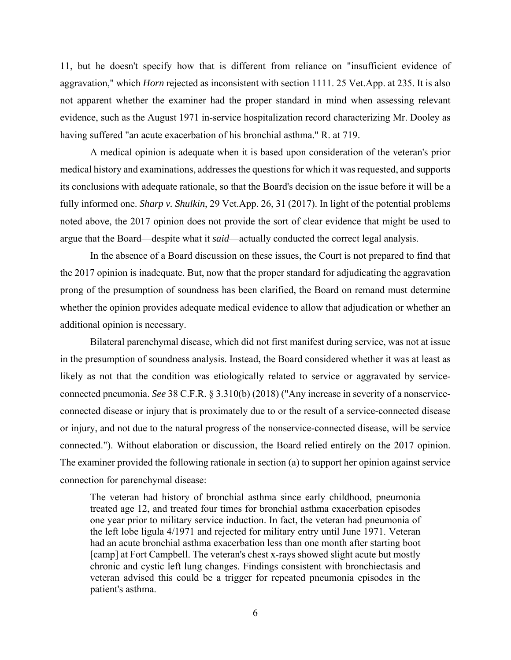11, but he doesn't specify how that is different from reliance on "insufficient evidence of aggravation," which *Horn* rejected as inconsistent with section 1111. 25 Vet.App. at 235. It is also not apparent whether the examiner had the proper standard in mind when assessing relevant evidence, such as the August 1971 in-service hospitalization record characterizing Mr. Dooley as having suffered "an acute exacerbation of his bronchial asthma." R. at 719.

A medical opinion is adequate when it is based upon consideration of the veteran's prior medical history and examinations, addresses the questions for which it was requested, and supports its conclusions with adequate rationale, so that the Board's decision on the issue before it will be a fully informed one. *Sharp v. Shulkin*, 29 Vet.App. 26, 31 (2017). In light of the potential problems noted above, the 2017 opinion does not provide the sort of clear evidence that might be used to argue that the Board—despite what it *said*—actually conducted the correct legal analysis.

In the absence of a Board discussion on these issues, the Court is not prepared to find that the 2017 opinion is inadequate. But, now that the proper standard for adjudicating the aggravation prong of the presumption of soundness has been clarified, the Board on remand must determine whether the opinion provides adequate medical evidence to allow that adjudication or whether an additional opinion is necessary.

Bilateral parenchymal disease, which did not first manifest during service, was not at issue in the presumption of soundness analysis. Instead, the Board considered whether it was at least as likely as not that the condition was etiologically related to service or aggravated by serviceconnected pneumonia. *See* 38 C.F.R. § 3.310(b) (2018) ("Any increase in severity of a nonserviceconnected disease or injury that is proximately due to or the result of a service-connected disease or injury, and not due to the natural progress of the nonservice-connected disease, will be service connected."). Without elaboration or discussion, the Board relied entirely on the 2017 opinion. The examiner provided the following rationale in section (a) to support her opinion against service connection for parenchymal disease:

The veteran had history of bronchial asthma since early childhood, pneumonia treated age 12, and treated four times for bronchial asthma exacerbation episodes one year prior to military service induction. In fact, the veteran had pneumonia of the left lobe ligula 4/1971 and rejected for military entry until June 1971. Veteran had an acute bronchial asthma exacerbation less than one month after starting boot [camp] at Fort Campbell. The veteran's chest x-rays showed slight acute but mostly chronic and cystic left lung changes. Findings consistent with bronchiectasis and veteran advised this could be a trigger for repeated pneumonia episodes in the patient's asthma.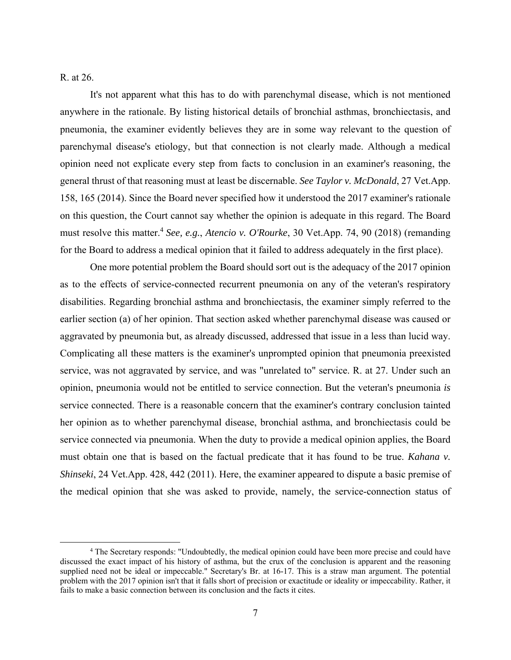R. at 26.

 It's not apparent what this has to do with parenchymal disease, which is not mentioned anywhere in the rationale. By listing historical details of bronchial asthmas, bronchiectasis, and pneumonia, the examiner evidently believes they are in some way relevant to the question of parenchymal disease's etiology, but that connection is not clearly made. Although a medical opinion need not explicate every step from facts to conclusion in an examiner's reasoning, the general thrust of that reasoning must at least be discernable. *See Taylor v. McDonald*, 27 Vet.App. 158, 165 (2014). Since the Board never specified how it understood the 2017 examiner's rationale on this question, the Court cannot say whether the opinion is adequate in this regard. The Board must resolve this matter.4 *See, e.g.*, *Atencio v. O'Rourke*, 30 Vet.App. 74, 90 (2018) (remanding for the Board to address a medical opinion that it failed to address adequately in the first place).

 One more potential problem the Board should sort out is the adequacy of the 2017 opinion as to the effects of service-connected recurrent pneumonia on any of the veteran's respiratory disabilities. Regarding bronchial asthma and bronchiectasis, the examiner simply referred to the earlier section (a) of her opinion. That section asked whether parenchymal disease was caused or aggravated by pneumonia but, as already discussed, addressed that issue in a less than lucid way. Complicating all these matters is the examiner's unprompted opinion that pneumonia preexisted service, was not aggravated by service, and was "unrelated to" service. R. at 27. Under such an opinion, pneumonia would not be entitled to service connection. But the veteran's pneumonia *is* service connected. There is a reasonable concern that the examiner's contrary conclusion tainted her opinion as to whether parenchymal disease, bronchial asthma, and bronchiectasis could be service connected via pneumonia. When the duty to provide a medical opinion applies, the Board must obtain one that is based on the factual predicate that it has found to be true. *Kahana v. Shinseki*, 24 Vet.App. 428, 442 (2011). Here, the examiner appeared to dispute a basic premise of the medical opinion that she was asked to provide, namely, the service-connection status of

 $\overline{a}$  The Secretary responds: "Undoubtedly, the medical opinion could have been more precise and could have discussed the exact impact of his history of asthma, but the crux of the conclusion is apparent and the reasoning supplied need not be ideal or impeccable." Secretary's Br. at 16-17. This is a straw man argument. The potential problem with the 2017 opinion isn't that it falls short of precision or exactitude or ideality or impeccability. Rather, it fails to make a basic connection between its conclusion and the facts it cites.